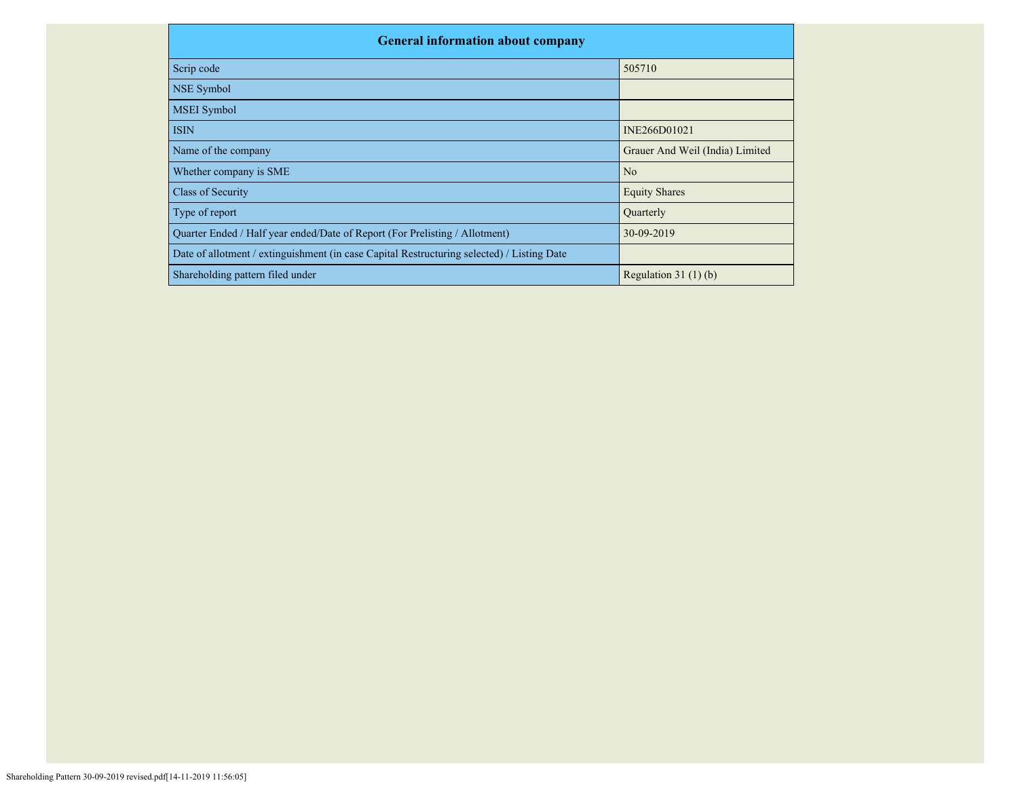| <b>General information about company</b>                                                   |                                 |
|--------------------------------------------------------------------------------------------|---------------------------------|
| Scrip code                                                                                 | 505710                          |
| <b>NSE Symbol</b>                                                                          |                                 |
| <b>MSEI</b> Symbol                                                                         |                                 |
| <b>ISIN</b>                                                                                | INE266D01021                    |
| Name of the company                                                                        | Grauer And Weil (India) Limited |
| Whether company is SME                                                                     | N <sub>o</sub>                  |
| <b>Class of Security</b>                                                                   | <b>Equity Shares</b>            |
| Type of report                                                                             | Quarterly                       |
| Quarter Ended / Half year ended/Date of Report (For Prelisting / Allotment)                | 30-09-2019                      |
| Date of allotment / extinguishment (in case Capital Restructuring selected) / Listing Date |                                 |
| Shareholding pattern filed under                                                           | Regulation $31(1)(b)$           |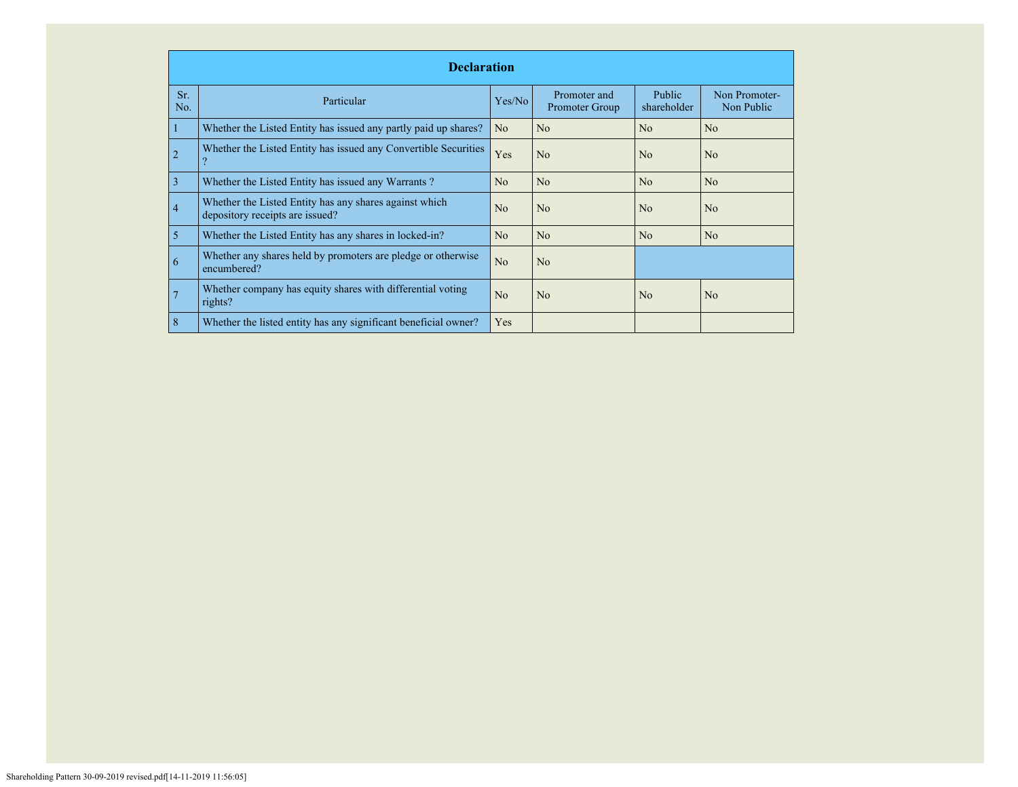|            | <b>Declaration</b>                                                                        |                |                                |                              |                             |  |  |  |
|------------|-------------------------------------------------------------------------------------------|----------------|--------------------------------|------------------------------|-----------------------------|--|--|--|
| Sr.<br>No. | Particular                                                                                | Yes/No         | Promoter and<br>Promoter Group | <b>Public</b><br>shareholder | Non Promoter-<br>Non Public |  |  |  |
|            | Whether the Listed Entity has issued any partly paid up shares?                           | N <sub>o</sub> | N <sub>o</sub>                 | No                           | N <sub>o</sub>              |  |  |  |
| 2          | Whether the Listed Entity has issued any Convertible Securities                           | Yes            | N <sub>o</sub>                 | N <sub>o</sub>               | N <sub>o</sub>              |  |  |  |
| 3          | Whether the Listed Entity has issued any Warrants?                                        | No             | N <sub>o</sub>                 | No                           | N <sub>o</sub>              |  |  |  |
| 4          | Whether the Listed Entity has any shares against which<br>depository receipts are issued? | N <sub>0</sub> | N <sub>o</sub>                 | N <sub>0</sub>               | N <sub>o</sub>              |  |  |  |
| 5          | Whether the Listed Entity has any shares in locked-in?                                    | N <sub>0</sub> | No                             | No                           | N <sub>o</sub>              |  |  |  |
| 6          | Whether any shares held by promoters are pledge or otherwise<br>encumbered?               | N <sub>o</sub> | N <sub>o</sub>                 |                              |                             |  |  |  |
|            | Whether company has equity shares with differential voting<br>rights?                     | N <sub>o</sub> | N <sub>o</sub>                 | N <sub>0</sub>               | N <sub>o</sub>              |  |  |  |
| 8          | Whether the listed entity has any significant beneficial owner?                           | Yes            |                                |                              |                             |  |  |  |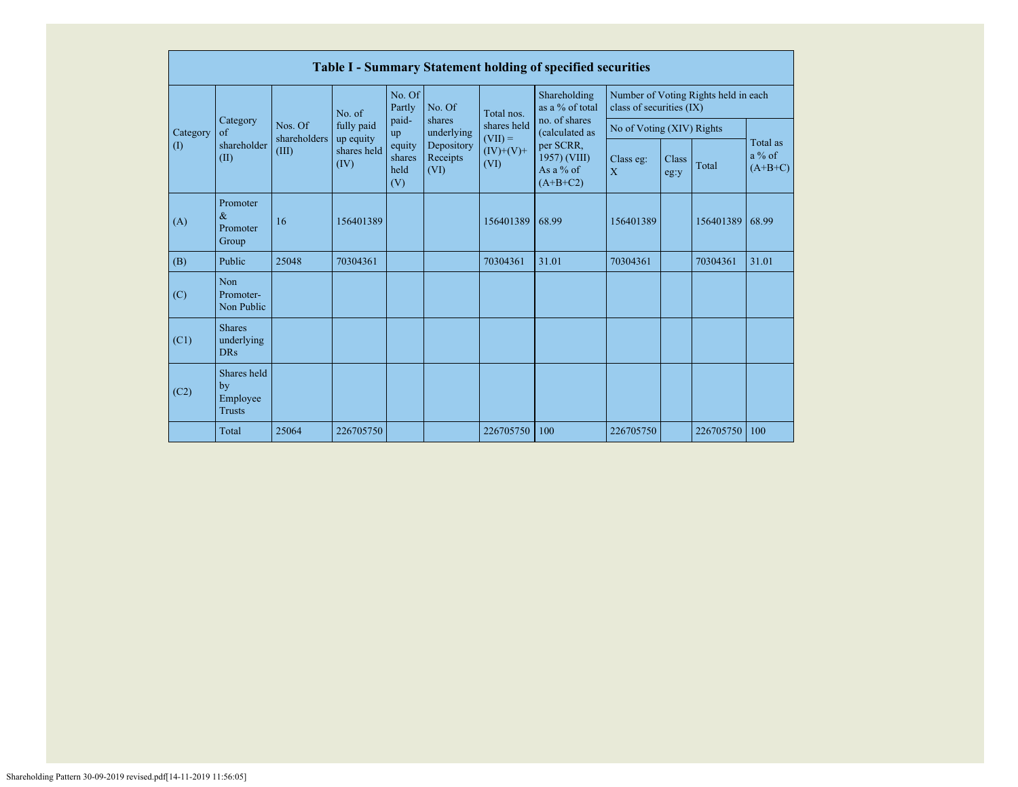|             | Table I - Summary Statement holding of specified securities |                       |                                  |                                 |                                                        |                                               |                                                        |                             |                                                                  |           |                                   |  |
|-------------|-------------------------------------------------------------|-----------------------|----------------------------------|---------------------------------|--------------------------------------------------------|-----------------------------------------------|--------------------------------------------------------|-----------------------------|------------------------------------------------------------------|-----------|-----------------------------------|--|
|             |                                                             |                       | No. of                           | No. Of<br>Partly                | No. Of                                                 | Shareholding<br>as a % of total<br>Total nos. |                                                        |                             | Number of Voting Rights held in each<br>class of securities (IX) |           |                                   |  |
| Category    | Category<br>$\alpha$ f                                      | Nos. Of               | fully paid                       | paid-<br>up                     | shares<br>underlying<br>Depository<br>Receipts<br>(VI) | shares held<br>$(VII) =$                      | no. of shares<br>(calculated as                        | No of Voting (XIV) Rights   |                                                                  |           |                                   |  |
| $($ $($ $)$ | shareholder<br>(II)                                         | shareholders<br>(III) | up equity<br>shares held<br>(IV) | equity<br>shares<br>held<br>(V) |                                                        | $(IV)+(V)+$<br>(VI)                           | per SCRR,<br>1957) (VIII)<br>As a $%$ of<br>$(A+B+C2)$ | Class eg:<br>$\overline{X}$ | Class<br>eg:y                                                    | Total     | Total as<br>$a\%$ of<br>$(A+B+C)$ |  |
| (A)         | Promoter<br>$\&$<br>Promoter<br>Group                       | 16                    | 156401389                        |                                 |                                                        | 156401389                                     | 68.99                                                  | 156401389                   |                                                                  | 156401389 | 68.99                             |  |
| (B)         | Public                                                      | 25048                 | 70304361                         |                                 |                                                        | 70304361                                      | 31.01                                                  | 70304361                    |                                                                  | 70304361  | 31.01                             |  |
| (C)         | <b>Non</b><br>Promoter-<br>Non Public                       |                       |                                  |                                 |                                                        |                                               |                                                        |                             |                                                                  |           |                                   |  |
| (C1)        | <b>Shares</b><br>underlying<br><b>DRs</b>                   |                       |                                  |                                 |                                                        |                                               |                                                        |                             |                                                                  |           |                                   |  |
| (C2)        | Shares held<br>by<br>Employee<br><b>Trusts</b>              |                       |                                  |                                 |                                                        |                                               |                                                        |                             |                                                                  |           |                                   |  |
|             | Total                                                       | 25064                 | 226705750                        |                                 |                                                        | 226705750                                     | 100                                                    | 226705750                   |                                                                  | 226705750 | 100                               |  |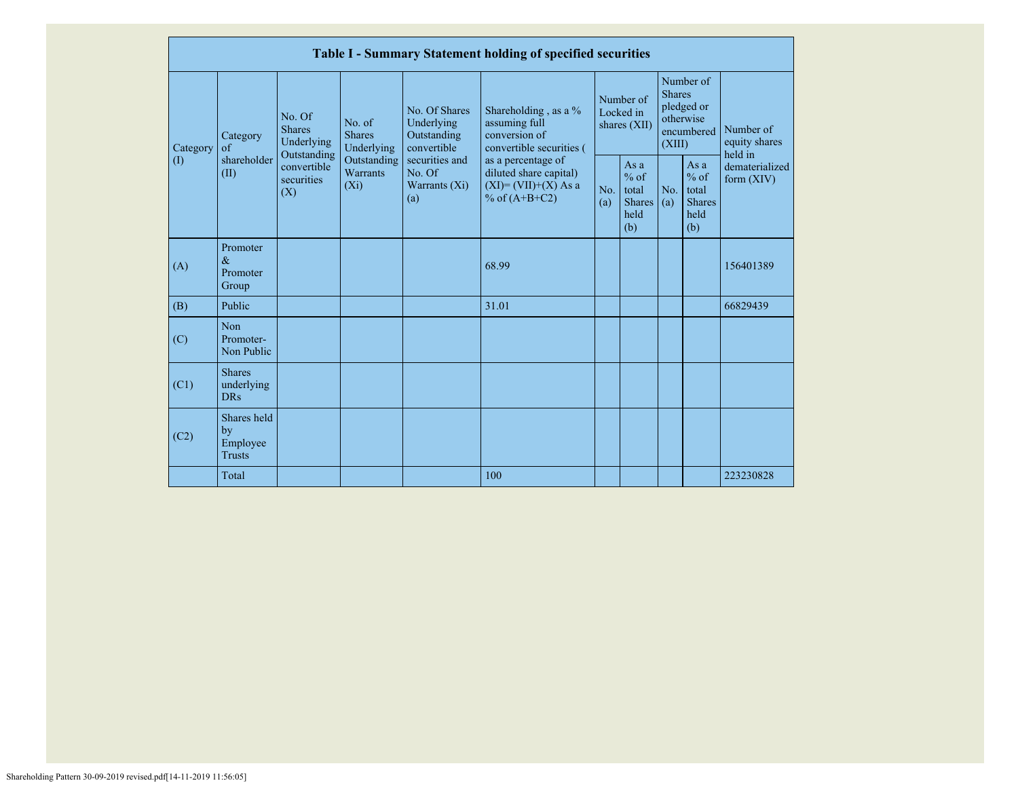|                            |                                                |                                                      |                                       |                                                                                                               | Table I - Summary Statement holding of specified securities                                |            |                                                           |                                                                               |                                                         |                                       |
|----------------------------|------------------------------------------------|------------------------------------------------------|---------------------------------------|---------------------------------------------------------------------------------------------------------------|--------------------------------------------------------------------------------------------|------------|-----------------------------------------------------------|-------------------------------------------------------------------------------|---------------------------------------------------------|---------------------------------------|
| Category                   | Category<br>of                                 | No. Of<br><b>Shares</b><br>Underlying<br>Outstanding | No. of<br><b>Shares</b><br>Underlying | No. Of Shares<br>Underlying<br>Outstanding<br>convertible<br>securities and<br>No. Of<br>Warrants (Xi)<br>(a) | Shareholding, as a %<br>assuming full<br>conversion of<br>convertible securities (         |            | Number of<br>Locked in<br>shares $(XII)$                  | Number of<br><b>Shares</b><br>pledged or<br>otherwise<br>encumbered<br>(XIII) |                                                         | Number of<br>equity shares<br>held in |
| $\left( \mathrm{I}\right)$ | shareholder<br>(II)                            | convertible<br>securities<br>(X)                     | Outstanding<br>Warrants<br>$(X_i)$    |                                                                                                               | as a percentage of<br>diluted share capital)<br>$(XI) = (VII)+(X) As a$<br>% of $(A+B+C2)$ | No.<br>(a) | As $a$<br>$%$ of<br>total<br><b>Shares</b><br>held<br>(b) | No.<br>(a)                                                                    | As a<br>$%$ of<br>total<br><b>Shares</b><br>held<br>(b) | dematerialized<br>form (XIV)          |
| (A)                        | Promoter<br>$\&$<br>Promoter<br>Group          |                                                      |                                       |                                                                                                               | 68.99                                                                                      |            |                                                           |                                                                               |                                                         | 156401389                             |
| (B)                        | Public                                         |                                                      |                                       |                                                                                                               | 31.01                                                                                      |            |                                                           |                                                                               |                                                         | 66829439                              |
| (C)                        | <b>Non</b><br>Promoter-<br>Non Public          |                                                      |                                       |                                                                                                               |                                                                                            |            |                                                           |                                                                               |                                                         |                                       |
| (C1)                       | <b>Shares</b><br>underlying<br>DRs             |                                                      |                                       |                                                                                                               |                                                                                            |            |                                                           |                                                                               |                                                         |                                       |
| (C2)                       | Shares held<br>by<br>Employee<br><b>Trusts</b> |                                                      |                                       |                                                                                                               |                                                                                            |            |                                                           |                                                                               |                                                         |                                       |
|                            | Total                                          |                                                      |                                       |                                                                                                               | 100                                                                                        |            |                                                           |                                                                               |                                                         | 223230828                             |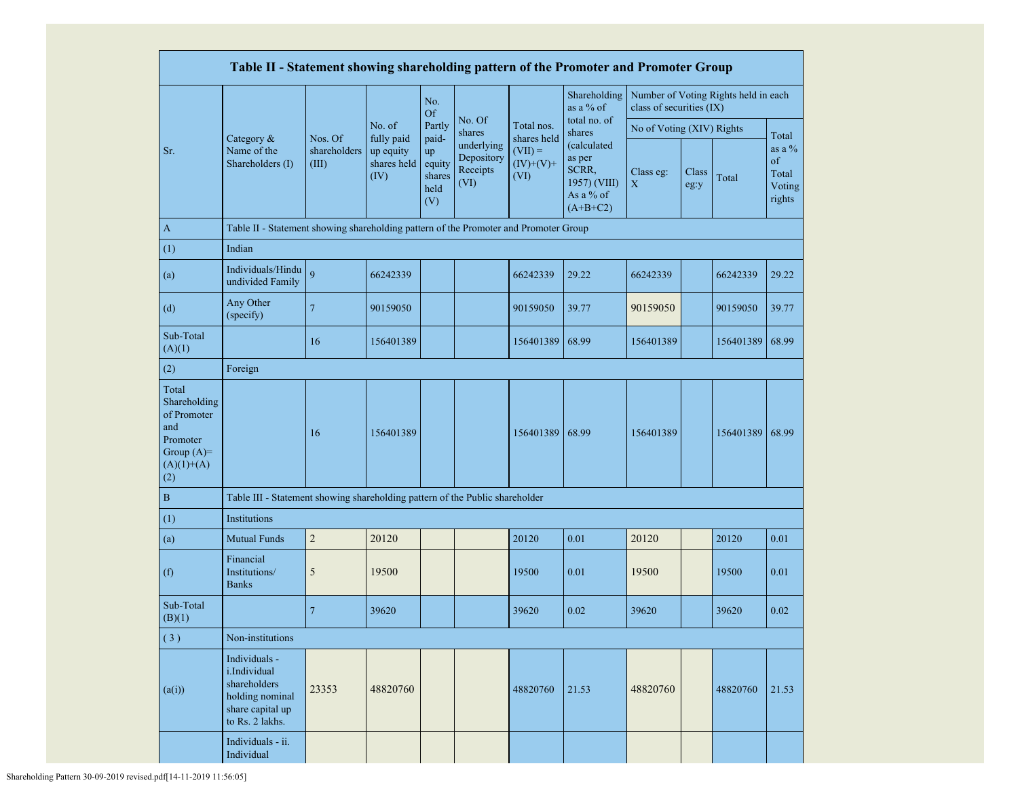|                                                                                                | Table II - Statement showing shareholding pattern of the Promoter and Promoter Group                    |                                  |                                                |                                                |                                              |                                                 |                                                                                                     |                           |               |                                      |                                             |
|------------------------------------------------------------------------------------------------|---------------------------------------------------------------------------------------------------------|----------------------------------|------------------------------------------------|------------------------------------------------|----------------------------------------------|-------------------------------------------------|-----------------------------------------------------------------------------------------------------|---------------------------|---------------|--------------------------------------|---------------------------------------------|
|                                                                                                |                                                                                                         |                                  |                                                | No.<br><b>Of</b>                               |                                              |                                                 | Shareholding<br>as a % of                                                                           | class of securities (IX)  |               | Number of Voting Rights held in each |                                             |
|                                                                                                |                                                                                                         |                                  | No. of                                         | Partly                                         | No. Of<br>shares                             | Total nos.                                      | total no. of<br>shares<br>(calculated<br>as per<br>SCRR,<br>1957) (VIII)<br>As a % of<br>$(A+B+C2)$ | No of Voting (XIV) Rights |               |                                      | Total                                       |
| Sr.                                                                                            | Category &<br>Name of the<br>Shareholders (I)                                                           | Nos. Of<br>shareholders<br>(III) | fully paid<br>up equity<br>shares held<br>(IV) | paid-<br>up<br>equity<br>shares<br>held<br>(V) | underlying<br>Depository<br>Receipts<br>(VI) | shares held<br>$(VII) =$<br>$(IV)+(V)+$<br>(VI) |                                                                                                     | Class eg:<br>X            | Class<br>eg:y | Total                                | as a $%$<br>of<br>Total<br>Voting<br>rights |
| $\mathbf{A}$                                                                                   | Table II - Statement showing shareholding pattern of the Promoter and Promoter Group                    |                                  |                                                |                                                |                                              |                                                 |                                                                                                     |                           |               |                                      |                                             |
| (1)                                                                                            | Indian                                                                                                  |                                  |                                                |                                                |                                              |                                                 |                                                                                                     |                           |               |                                      |                                             |
| (a)                                                                                            | Individuals/Hindu<br>undivided Family                                                                   | $\overline{9}$                   | 66242339                                       |                                                |                                              | 66242339                                        | 29.22                                                                                               | 66242339                  |               | 66242339                             | 29.22                                       |
| (d)                                                                                            | Any Other<br>(specify)                                                                                  | $\overline{7}$                   | 90159050                                       |                                                |                                              | 90159050                                        | 39.77                                                                                               | 90159050                  |               | 90159050                             | 39.77                                       |
| Sub-Total<br>(A)(1)                                                                            |                                                                                                         | 16                               | 156401389                                      |                                                |                                              | 156401389                                       | 68.99                                                                                               | 156401389                 |               | 156401389                            | 68.99                                       |
| (2)                                                                                            | Foreign                                                                                                 |                                  |                                                |                                                |                                              |                                                 |                                                                                                     |                           |               |                                      |                                             |
| Total<br>Shareholding<br>of Promoter<br>and<br>Promoter<br>Group $(A)=$<br>$(A)(1)+(A)$<br>(2) |                                                                                                         | 16                               | 156401389                                      |                                                |                                              | 156401389                                       | 68.99                                                                                               | 156401389                 |               | 156401389                            | 68.99                                       |
| $\, {\bf B}$                                                                                   | Table III - Statement showing shareholding pattern of the Public shareholder                            |                                  |                                                |                                                |                                              |                                                 |                                                                                                     |                           |               |                                      |                                             |
| (1)                                                                                            | Institutions                                                                                            |                                  |                                                |                                                |                                              |                                                 |                                                                                                     |                           |               |                                      |                                             |
| (a)                                                                                            | <b>Mutual Funds</b>                                                                                     | $\boldsymbol{2}$                 | 20120                                          |                                                |                                              | 20120                                           | 0.01                                                                                                | 20120                     |               | 20120                                | 0.01                                        |
| (f)                                                                                            | Financial<br>Institutions/<br><b>Banks</b>                                                              | 5                                | 19500                                          |                                                |                                              | 19500                                           | 0.01                                                                                                | 19500                     |               | 19500                                | 0.01                                        |
| Sub-Total<br>(B)(1)                                                                            |                                                                                                         | $\overline{7}$                   | 39620                                          |                                                |                                              | 39620                                           | 0.02                                                                                                | 39620                     |               | 39620                                | 0.02                                        |
| (3)                                                                                            | Non-institutions                                                                                        |                                  |                                                |                                                |                                              |                                                 |                                                                                                     |                           |               |                                      |                                             |
| (a(i))                                                                                         | Individuals -<br>i.Individual<br>shareholders<br>holding nominal<br>share capital up<br>to Rs. 2 lakhs. | 23353                            | 48820760                                       |                                                |                                              | 48820760                                        | 21.53                                                                                               | 48820760                  |               | 48820760                             | 21.53                                       |
|                                                                                                | Individuals - ii.<br>Individual                                                                         |                                  |                                                |                                                |                                              |                                                 |                                                                                                     |                           |               |                                      |                                             |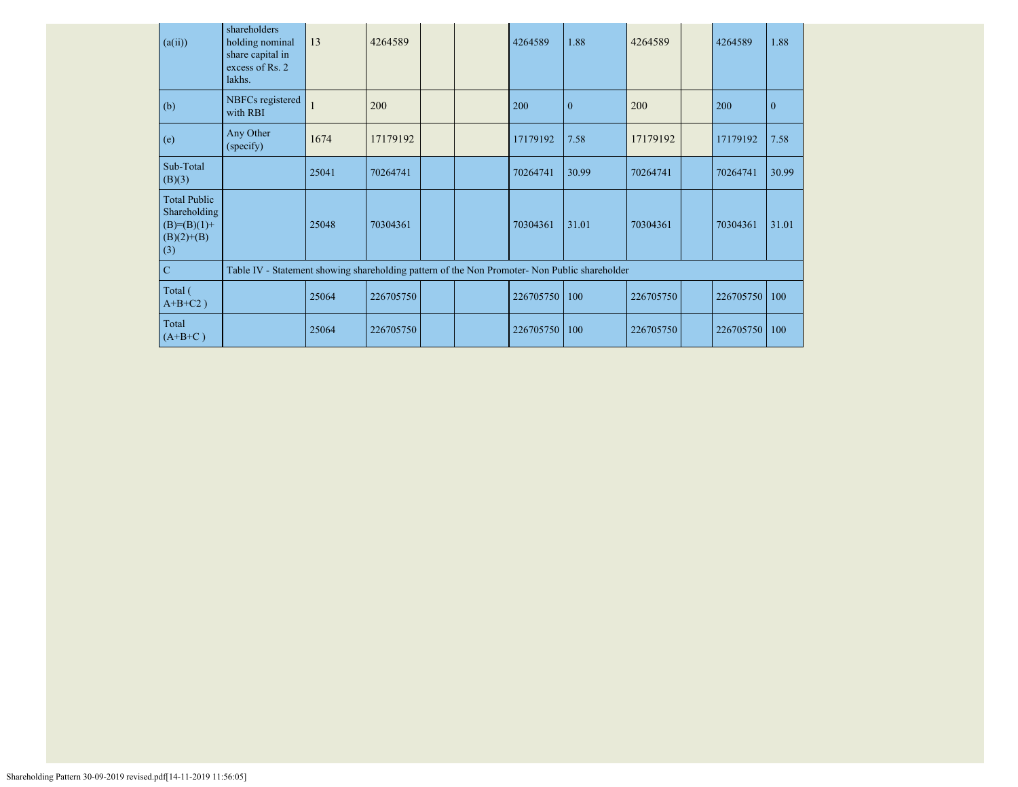| (a(ii))                                                                       | shareholders<br>holding nominal<br>share capital in<br>excess of Rs. 2<br>lakhs.              | 13    | 4264589   |  | 4264589   | 1.88         | 4264589   | 4264589   | 1.88           |
|-------------------------------------------------------------------------------|-----------------------------------------------------------------------------------------------|-------|-----------|--|-----------|--------------|-----------|-----------|----------------|
| (b)                                                                           | NBFCs registered<br>with RBI                                                                  |       | 200       |  | 200       | $\mathbf{0}$ | 200       | 200       | $\overline{0}$ |
| (e)                                                                           | Any Other<br>(specify)                                                                        | 1674  | 17179192  |  | 17179192  | 7.58         | 17179192  | 17179192  | 7.58           |
| Sub-Total<br>(B)(3)                                                           |                                                                                               | 25041 | 70264741  |  | 70264741  | 30.99        | 70264741  | 70264741  | 30.99          |
| <b>Total Public</b><br>Shareholding<br>$(B)= (B)(1) +$<br>$(B)(2)+(B)$<br>(3) |                                                                                               | 25048 | 70304361  |  | 70304361  | 31.01        | 70304361  | 70304361  | 31.01          |
| $\mathbf C$                                                                   | Table IV - Statement showing shareholding pattern of the Non Promoter- Non Public shareholder |       |           |  |           |              |           |           |                |
| Total (<br>$A+B+C2$ )                                                         |                                                                                               | 25064 | 226705750 |  | 226705750 | 100          | 226705750 | 226705750 | 100            |
| Total<br>$(A+B+C)$                                                            |                                                                                               | 25064 | 226705750 |  | 226705750 | 100          | 226705750 | 226705750 | 100            |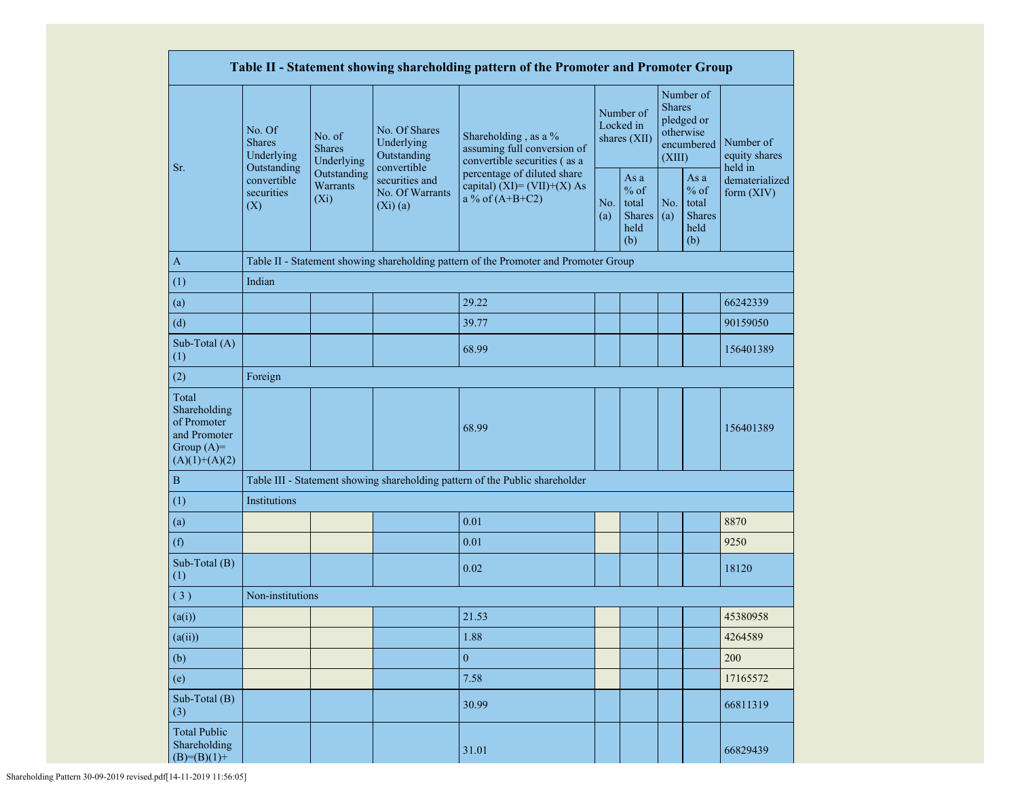|                                                                                         | Table II - Statement showing shareholding pattern of the Promoter and Promoter Group |                                       |                                                                |                                                                                      |                                        |                                                         |            |                                                                               |                                       |  |
|-----------------------------------------------------------------------------------------|--------------------------------------------------------------------------------------|---------------------------------------|----------------------------------------------------------------|--------------------------------------------------------------------------------------|----------------------------------------|---------------------------------------------------------|------------|-------------------------------------------------------------------------------|---------------------------------------|--|
|                                                                                         | No. Of<br><b>Shares</b><br>Underlying                                                | No. of<br><b>Shares</b><br>Underlying | No. Of Shares<br>Underlying<br>Outstanding                     | Shareholding, as a %<br>assuming full conversion of<br>convertible securities (as a  | Number of<br>Locked in<br>shares (XII) |                                                         |            | Number of<br><b>Shares</b><br>pledged or<br>otherwise<br>encumbered<br>(XIII) | Number of<br>equity shares<br>held in |  |
| Sr.                                                                                     | Outstanding<br>convertible<br>securities<br>(X)                                      | Outstanding<br>Warrants<br>$(X_i)$    | convertible<br>securities and<br>No. Of Warrants<br>$(Xi)$ (a) | percentage of diluted share<br>capital) (XI)= $(VII)+(X)$ As<br>a % of $(A+B+C2)$    |                                        | As a<br>$%$ of<br>total<br><b>Shares</b><br>held<br>(b) | No.<br>(a) | As a<br>$%$ of<br>total<br><b>Shares</b><br>held<br>(b)                       | dematerialized<br>form (XIV)          |  |
| $\mathbf{A}$                                                                            |                                                                                      |                                       |                                                                | Table II - Statement showing shareholding pattern of the Promoter and Promoter Group |                                        |                                                         |            |                                                                               |                                       |  |
| (1)                                                                                     | Indian                                                                               |                                       |                                                                |                                                                                      |                                        |                                                         |            |                                                                               |                                       |  |
| (a)                                                                                     |                                                                                      |                                       |                                                                | 29.22                                                                                |                                        |                                                         |            |                                                                               | 66242339                              |  |
| (d)                                                                                     |                                                                                      |                                       |                                                                | 39.77                                                                                |                                        |                                                         |            |                                                                               | 90159050                              |  |
| Sub-Total (A)<br>(1)                                                                    |                                                                                      |                                       |                                                                | 68.99                                                                                |                                        |                                                         |            |                                                                               | 156401389                             |  |
| (2)                                                                                     | Foreign                                                                              |                                       |                                                                |                                                                                      |                                        |                                                         |            |                                                                               |                                       |  |
| Total<br>Shareholding<br>of Promoter<br>and Promoter<br>Group $(A)=$<br>$(A)(1)+(A)(2)$ |                                                                                      |                                       |                                                                | 68.99                                                                                |                                        |                                                         |            |                                                                               | 156401389                             |  |
| $\, {\bf B}$                                                                            |                                                                                      |                                       |                                                                | Table III - Statement showing shareholding pattern of the Public shareholder         |                                        |                                                         |            |                                                                               |                                       |  |
| (1)                                                                                     | Institutions                                                                         |                                       |                                                                |                                                                                      |                                        |                                                         |            |                                                                               |                                       |  |
| (a)                                                                                     |                                                                                      |                                       |                                                                | 0.01                                                                                 |                                        |                                                         |            |                                                                               | 8870                                  |  |
| (f)                                                                                     |                                                                                      |                                       |                                                                | 0.01                                                                                 |                                        |                                                         |            |                                                                               | 9250                                  |  |
| Sub-Total (B)<br>(1)                                                                    |                                                                                      |                                       |                                                                | 0.02                                                                                 |                                        |                                                         |            |                                                                               | 18120                                 |  |
| (3)                                                                                     | Non-institutions                                                                     |                                       |                                                                |                                                                                      |                                        |                                                         |            |                                                                               |                                       |  |
| (a(i))                                                                                  |                                                                                      |                                       |                                                                | 21.53                                                                                |                                        |                                                         |            |                                                                               | 45380958                              |  |
| (a(ii))                                                                                 |                                                                                      |                                       |                                                                | 1.88                                                                                 |                                        |                                                         |            |                                                                               | 4264589                               |  |
| (b)                                                                                     |                                                                                      |                                       |                                                                | $\boldsymbol{0}$                                                                     |                                        |                                                         |            |                                                                               | 200                                   |  |
| (e)                                                                                     |                                                                                      |                                       |                                                                | 7.58                                                                                 |                                        |                                                         |            |                                                                               | 17165572                              |  |
| Sub-Total (B)<br>(3)                                                                    |                                                                                      |                                       |                                                                | 30.99                                                                                |                                        |                                                         |            |                                                                               | 66811319                              |  |
| <b>Total Public</b><br>Shareholding<br>31.01<br>$(B)= (B)(1) +$                         |                                                                                      |                                       |                                                                |                                                                                      |                                        | 66829439                                                |            |                                                                               |                                       |  |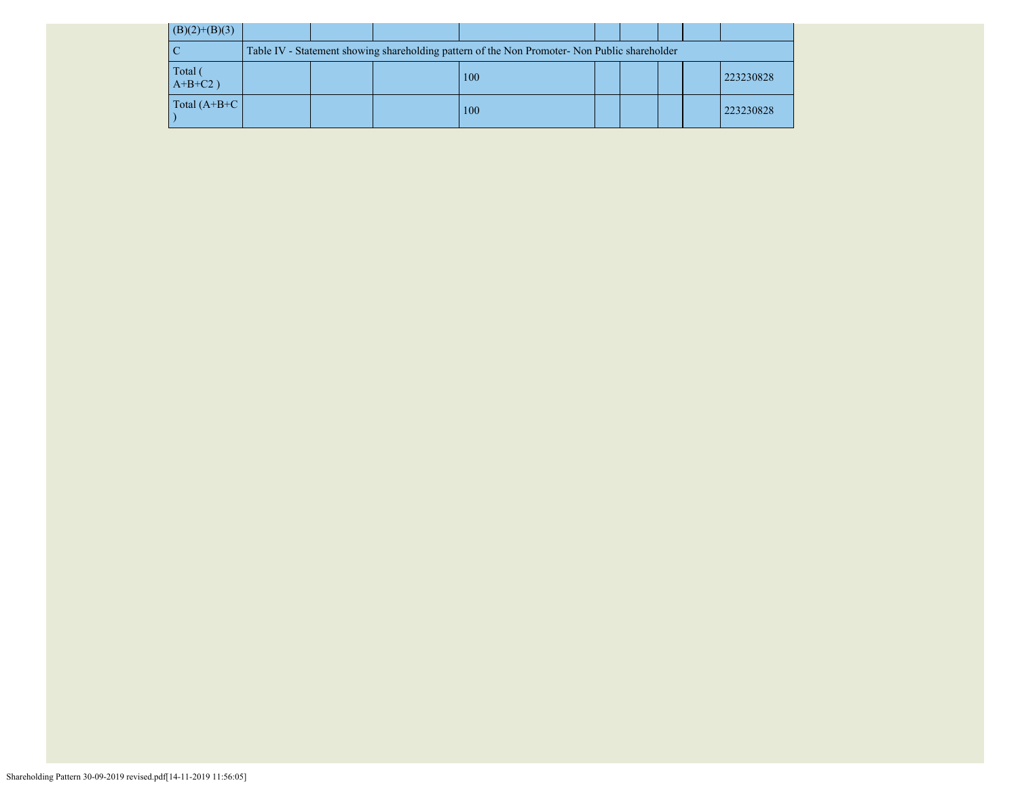| $(B)(2)+(B)(3)$       |                                                                                               |  |  |     |  |  |  |           |
|-----------------------|-----------------------------------------------------------------------------------------------|--|--|-----|--|--|--|-----------|
|                       | Table IV - Statement showing shareholding pattern of the Non Promoter- Non Public shareholder |  |  |     |  |  |  |           |
| Total (<br>$A+B+C2$ ) |                                                                                               |  |  | 100 |  |  |  | 223230828 |
| Total $(A+B+C)$       |                                                                                               |  |  | 100 |  |  |  | 223230828 |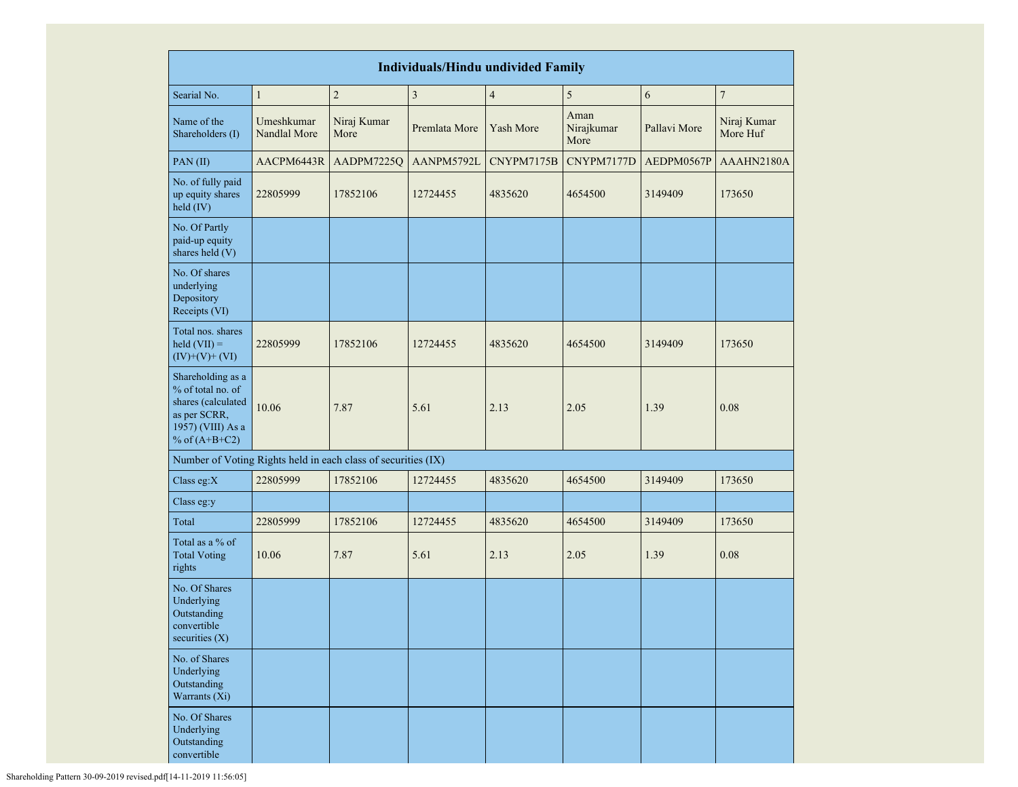| <b>Individuals/Hindu undivided Family</b>                                                                            |                            |                                                               |                         |                  |                            |              |                         |
|----------------------------------------------------------------------------------------------------------------------|----------------------------|---------------------------------------------------------------|-------------------------|------------------|----------------------------|--------------|-------------------------|
| Searial No.                                                                                                          | $\mathbf{1}$               | $\overline{c}$                                                | $\overline{\mathbf{3}}$ | $\overline{4}$   | 5                          | 6            | $\sqrt{ }$              |
| Name of the<br>Shareholders (I)                                                                                      | Umeshkumar<br>Nandlal More | Niraj Kumar<br>More                                           | Premlata More           | <b>Yash More</b> | Aman<br>Nirajkumar<br>More | Pallavi More | Niraj Kumar<br>More Huf |
| PAN(II)                                                                                                              | AACPM6443R                 | AADPM7225Q                                                    | AANPM5792L              | CNYPM7175B       | CNYPM7177D                 | AEDPM0567P   | AAAHN2180A              |
| No. of fully paid<br>up equity shares<br>held (IV)                                                                   | 22805999                   | 17852106                                                      | 12724455                | 4835620          | 4654500                    | 3149409      | 173650                  |
| No. Of Partly<br>paid-up equity<br>shares held (V)                                                                   |                            |                                                               |                         |                  |                            |              |                         |
| No. Of shares<br>underlying<br>Depository<br>Receipts (VI)                                                           |                            |                                                               |                         |                  |                            |              |                         |
| Total nos. shares<br>held $(VII) =$<br>$(IV)+(V)+(VI)$                                                               | 22805999                   | 17852106                                                      | 12724455                | 4835620          | 4654500                    | 3149409      | 173650                  |
| Shareholding as a<br>% of total no. of<br>shares (calculated<br>as per SCRR,<br>1957) (VIII) As a<br>% of $(A+B+C2)$ | 10.06                      | 7.87                                                          | 5.61                    | 2.13             | 2.05                       | 1.39         | 0.08                    |
|                                                                                                                      |                            | Number of Voting Rights held in each class of securities (IX) |                         |                  |                            |              |                         |
| Class eg: $X$                                                                                                        | 22805999                   | 17852106                                                      | 12724455                | 4835620          | 4654500                    | 3149409      | 173650                  |
| Class eg:y                                                                                                           |                            |                                                               |                         |                  |                            |              |                         |
| Total                                                                                                                | 22805999                   | 17852106                                                      | 12724455                | 4835620          | 4654500                    | 3149409      | 173650                  |
| Total as a % of<br><b>Total Voting</b><br>rights                                                                     | 10.06                      | 7.87                                                          | 5.61                    | 2.13             | 2.05                       | 1.39         | 0.08                    |
| No. Of Shares<br>Underlying<br>Outstanding<br>convertible<br>securities $(X)$                                        |                            |                                                               |                         |                  |                            |              |                         |
| No. of Shares<br>Underlying<br>Outstanding<br>Warrants (Xi)                                                          |                            |                                                               |                         |                  |                            |              |                         |
| No. Of Shares<br>Underlying<br>Outstanding<br>convertible                                                            |                            |                                                               |                         |                  |                            |              |                         |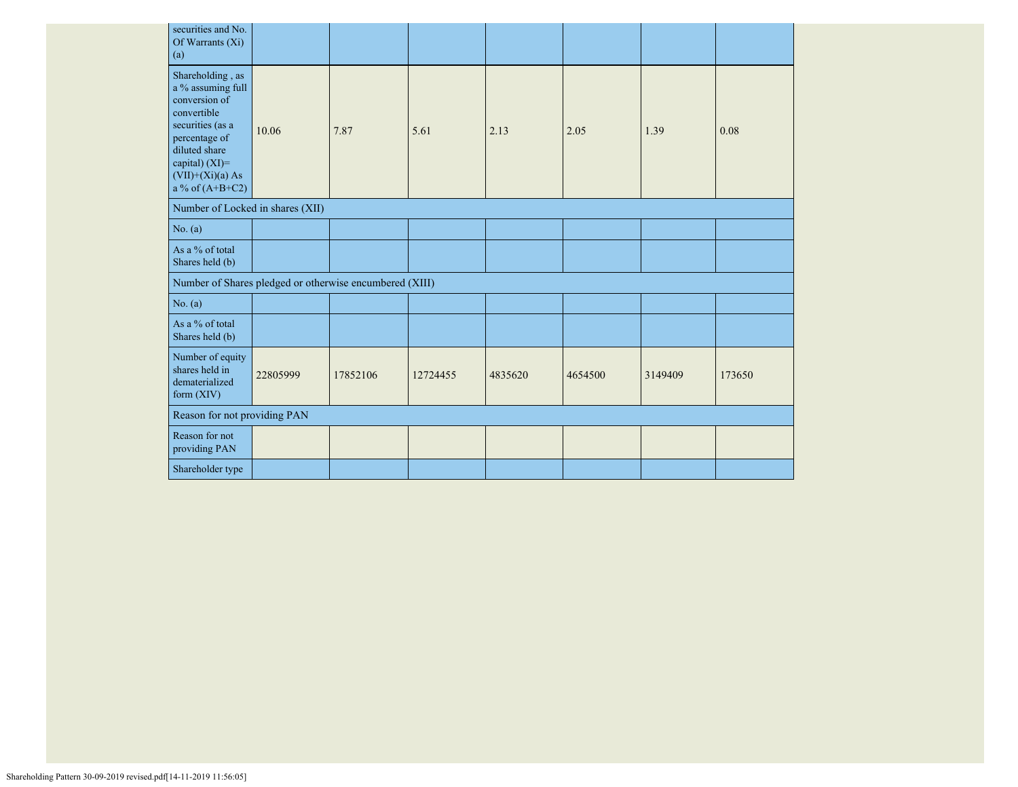| securities and No.<br>Of Warrants (Xi)<br>(a)                                                                                                                                            |          |          |          |         |         |         |        |
|------------------------------------------------------------------------------------------------------------------------------------------------------------------------------------------|----------|----------|----------|---------|---------|---------|--------|
| Shareholding, as<br>a % assuming full<br>conversion of<br>convertible<br>securities (as a<br>percentage of<br>diluted share<br>capital) (XI)=<br>$(VII)+(Xi)(a) As$<br>a % of $(A+B+C2)$ | 10.06    | 7.87     | 5.61     | 2.13    | 2.05    | 1.39    | 0.08   |
| Number of Locked in shares (XII)                                                                                                                                                         |          |          |          |         |         |         |        |
| No. (a)                                                                                                                                                                                  |          |          |          |         |         |         |        |
| As a % of total<br>Shares held (b)                                                                                                                                                       |          |          |          |         |         |         |        |
| Number of Shares pledged or otherwise encumbered (XIII)                                                                                                                                  |          |          |          |         |         |         |        |
| No. (a)                                                                                                                                                                                  |          |          |          |         |         |         |        |
| As a % of total<br>Shares held (b)                                                                                                                                                       |          |          |          |         |         |         |        |
| Number of equity<br>shares held in<br>dematerialized<br>form (XIV)                                                                                                                       | 22805999 | 17852106 | 12724455 | 4835620 | 4654500 | 3149409 | 173650 |
| Reason for not providing PAN                                                                                                                                                             |          |          |          |         |         |         |        |
| Reason for not<br>providing PAN                                                                                                                                                          |          |          |          |         |         |         |        |
| Shareholder type                                                                                                                                                                         |          |          |          |         |         |         |        |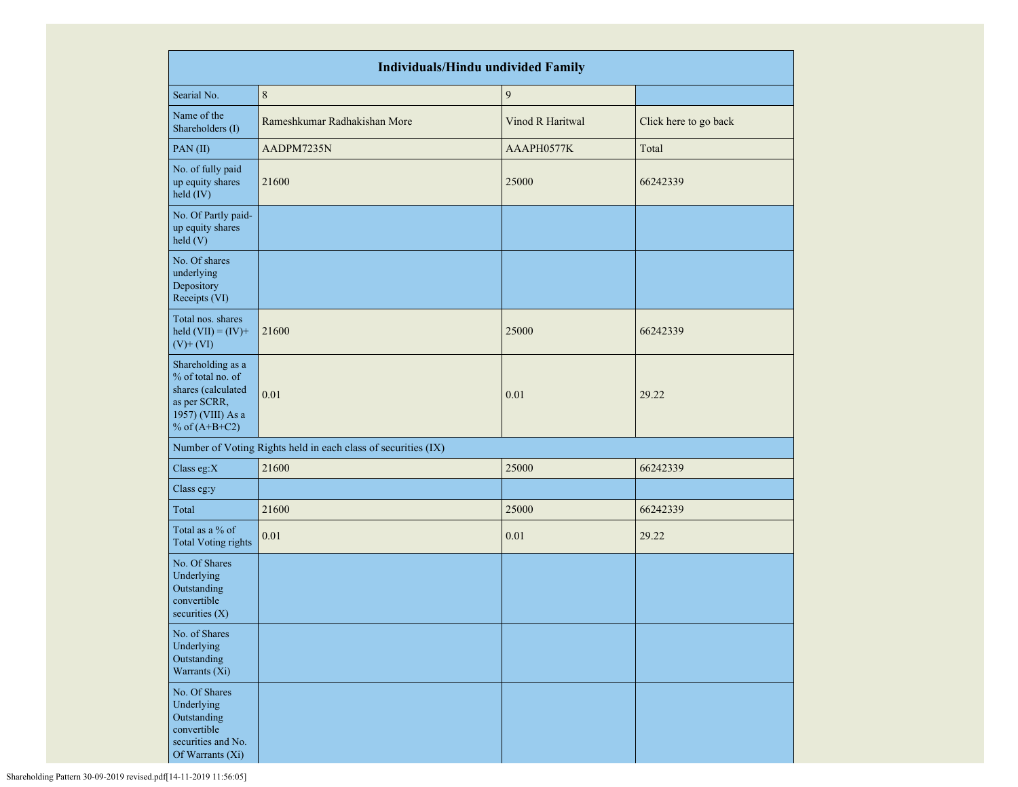| <b>Individuals/Hindu undivided Family</b>                                                                            |                                                               |                  |                       |  |  |  |  |  |  |
|----------------------------------------------------------------------------------------------------------------------|---------------------------------------------------------------|------------------|-----------------------|--|--|--|--|--|--|
| Searial No.                                                                                                          | $\,8\,$                                                       | $\boldsymbol{9}$ |                       |  |  |  |  |  |  |
| Name of the<br>Shareholders (I)                                                                                      | Rameshkumar Radhakishan More                                  | Vinod R Haritwal | Click here to go back |  |  |  |  |  |  |
| PAN(II)                                                                                                              | AADPM7235N                                                    | AAAPH0577K       | Total                 |  |  |  |  |  |  |
| No. of fully paid<br>up equity shares<br>held (IV)                                                                   | 21600                                                         | 25000            | 66242339              |  |  |  |  |  |  |
| No. Of Partly paid-<br>up equity shares<br>held (V)                                                                  |                                                               |                  |                       |  |  |  |  |  |  |
| No. Of shares<br>underlying<br>Depository<br>Receipts (VI)                                                           |                                                               |                  |                       |  |  |  |  |  |  |
| Total nos. shares<br>held $(VII) = (IV) +$<br>$(V)$ + $(VI)$                                                         | 21600                                                         | 25000            | 66242339              |  |  |  |  |  |  |
| Shareholding as a<br>% of total no. of<br>shares (calculated<br>as per SCRR,<br>1957) (VIII) As a<br>% of $(A+B+C2)$ | 0.01                                                          | 0.01             | 29.22                 |  |  |  |  |  |  |
|                                                                                                                      | Number of Voting Rights held in each class of securities (IX) |                  |                       |  |  |  |  |  |  |
| Class eg:X                                                                                                           | 21600                                                         | 25000            | 66242339              |  |  |  |  |  |  |
| Class eg:y                                                                                                           |                                                               |                  |                       |  |  |  |  |  |  |
| Total                                                                                                                | 21600                                                         | 25000            | 66242339              |  |  |  |  |  |  |
| Total as a % of<br><b>Total Voting rights</b>                                                                        | 0.01                                                          | 0.01             | 29.22                 |  |  |  |  |  |  |
| No. Of Shares<br>Underlying<br>Outstanding<br>convertible<br>securities $(X)$                                        |                                                               |                  |                       |  |  |  |  |  |  |
| No. of Shares<br>Underlying<br>Outstanding<br>Warrants (Xi)                                                          |                                                               |                  |                       |  |  |  |  |  |  |
| No. Of Shares<br>Underlying<br>Outstanding<br>convertible<br>securities and No.<br>Of Warrants (Xi)                  |                                                               |                  |                       |  |  |  |  |  |  |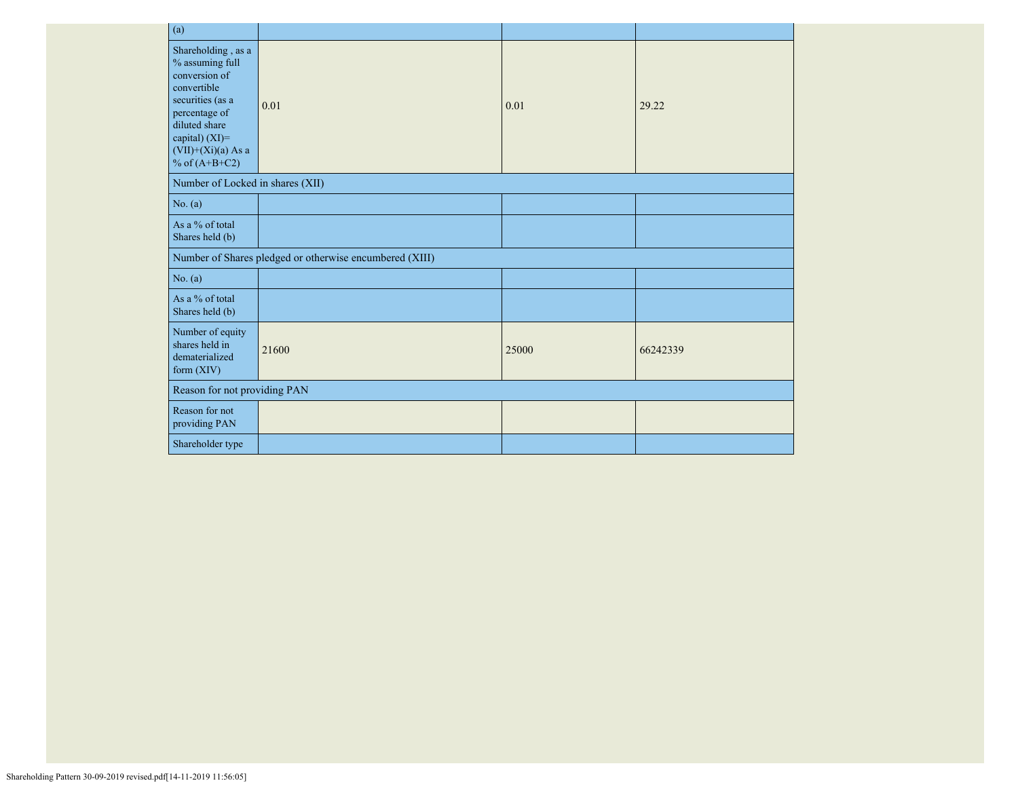| (a)                                                                                                                                                                                      |                                                         |       |          |
|------------------------------------------------------------------------------------------------------------------------------------------------------------------------------------------|---------------------------------------------------------|-------|----------|
| Shareholding, as a<br>% assuming full<br>conversion of<br>convertible<br>securities (as a<br>percentage of<br>diluted share<br>capital) (XI)=<br>$(VII)+(Xi)(a)$ As a<br>% of $(A+B+C2)$ | 0.01                                                    | 0.01  | 29.22    |
| Number of Locked in shares (XII)                                                                                                                                                         |                                                         |       |          |
| No. (a)                                                                                                                                                                                  |                                                         |       |          |
| As a % of total<br>Shares held (b)                                                                                                                                                       |                                                         |       |          |
|                                                                                                                                                                                          | Number of Shares pledged or otherwise encumbered (XIII) |       |          |
| No. (a)                                                                                                                                                                                  |                                                         |       |          |
| As a % of total<br>Shares held (b)                                                                                                                                                       |                                                         |       |          |
| Number of equity<br>shares held in<br>dematerialized<br>form $(XIV)$                                                                                                                     | 21600                                                   | 25000 | 66242339 |
| Reason for not providing PAN                                                                                                                                                             |                                                         |       |          |
| Reason for not<br>providing PAN                                                                                                                                                          |                                                         |       |          |
| Shareholder type                                                                                                                                                                         |                                                         |       |          |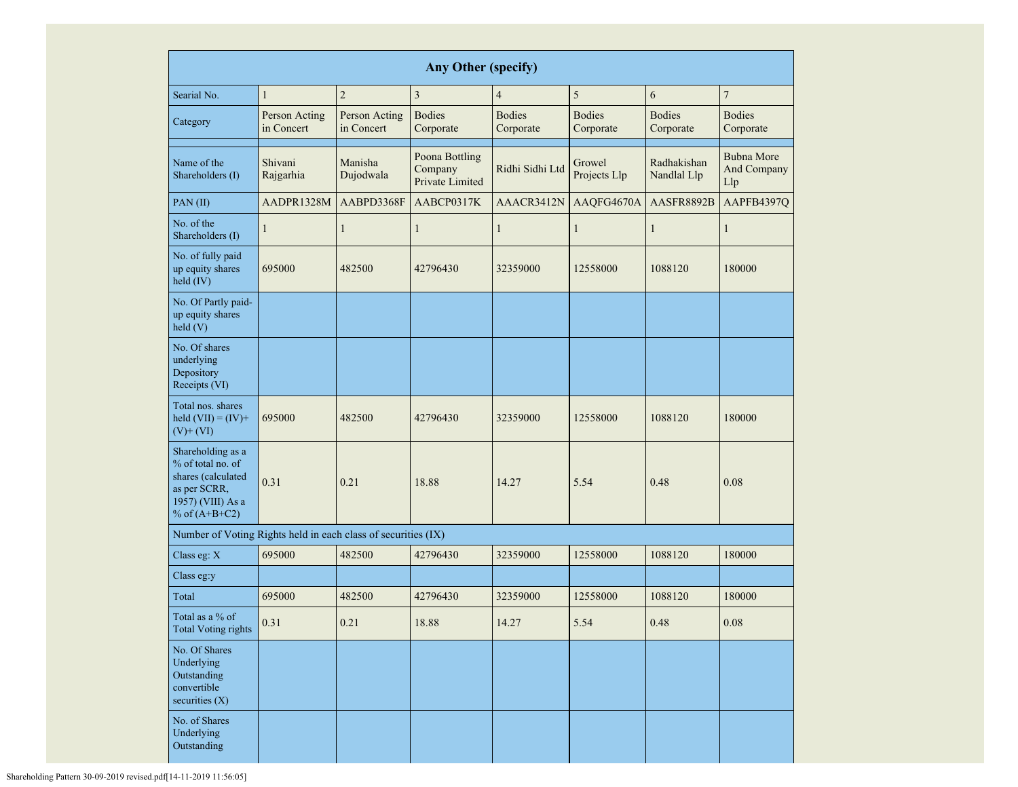| <b>Any Other (specify)</b>                                                                                           |                                              |                             |                                                                 |                            |                            |                            |                            |  |  |  |  |  |
|----------------------------------------------------------------------------------------------------------------------|----------------------------------------------|-----------------------------|-----------------------------------------------------------------|----------------------------|----------------------------|----------------------------|----------------------------|--|--|--|--|--|
| Searial No.                                                                                                          | $\mathbf{1}$                                 | $\overline{2}$              | 3                                                               | $\overline{4}$             | 5                          | 6                          | $\overline{7}$             |  |  |  |  |  |
| Category                                                                                                             | Person Acting<br>in Concert                  | Person Acting<br>in Concert | <b>Bodies</b><br>Corporate                                      | <b>Bodies</b><br>Corporate | <b>Bodies</b><br>Corporate | <b>Bodies</b><br>Corporate | <b>Bodies</b><br>Corporate |  |  |  |  |  |
| Name of the<br>Shareholders (I)                                                                                      | Shivani<br>Manisha<br>Dujodwala<br>Rajgarhia |                             | Poona Bottling<br>Ridhi Sidhi Ltd<br>Company<br>Private Limited |                            | Growel<br>Projects Llp     | Radhakishan<br>Nandlal Llp |                            |  |  |  |  |  |
| PAN(II)                                                                                                              | AADPR1328M                                   | AABPD3368F                  | AABCP0317K                                                      | AAACR3412N                 | AAQFG4670A                 | AASFR8892B                 | AAPFB4397Q                 |  |  |  |  |  |
| No. of the<br>Shareholders (I)                                                                                       | $\mathbf{1}$                                 | $\mathbf{1}$                | $\mathbf{1}$                                                    | $\mathbf{1}$               | $\mathbf{1}$               | 1                          | 1                          |  |  |  |  |  |
| No. of fully paid<br>up equity shares<br>held $(IV)$                                                                 | 695000                                       | 482500                      | 42796430                                                        | 32359000                   | 12558000<br>1088120        |                            | 180000                     |  |  |  |  |  |
| No. Of Partly paid-<br>up equity shares<br>held(V)                                                                   |                                              |                             |                                                                 |                            |                            |                            |                            |  |  |  |  |  |
| No. Of shares<br>underlying<br>Depository<br>Receipts (VI)                                                           |                                              |                             |                                                                 |                            |                            |                            |                            |  |  |  |  |  |
| Total nos. shares<br>held $(VII) = (IV) +$<br>$(V)$ + $(VI)$                                                         | 695000                                       | 482500                      | 42796430<br>32359000                                            |                            | 12558000                   | 1088120                    | 180000                     |  |  |  |  |  |
| Shareholding as a<br>% of total no. of<br>shares (calculated<br>as per SCRR,<br>1957) (VIII) As a<br>% of $(A+B+C2)$ | 0.31<br>0.21                                 |                             | 18.88                                                           | 14.27                      | 5.54                       | 0.48                       | 0.08                       |  |  |  |  |  |
| Number of Voting Rights held in each class of securities (IX)                                                        |                                              |                             |                                                                 |                            |                            |                            |                            |  |  |  |  |  |
| Class eg: X                                                                                                          | 695000                                       | 482500                      | 42796430                                                        | 32359000                   | 12558000                   | 1088120                    | 180000                     |  |  |  |  |  |
| Class eg:y                                                                                                           |                                              |                             |                                                                 |                            |                            |                            |                            |  |  |  |  |  |
| Total                                                                                                                | 695000                                       | 482500                      | 42796430                                                        | 32359000                   | 12558000                   | 1088120                    | 180000                     |  |  |  |  |  |
| Total as a % of<br><b>Total Voting rights</b>                                                                        | 0.31                                         | 0.21                        | 18.88                                                           | 14.27                      | 5.54                       | 0.48                       | $0.08\,$                   |  |  |  |  |  |
| No. Of Shares<br>Underlying<br>Outstanding<br>convertible<br>securities (X)                                          |                                              |                             |                                                                 |                            |                            |                            |                            |  |  |  |  |  |
| No. of Shares<br>Underlying<br>Outstanding                                                                           |                                              |                             |                                                                 |                            |                            |                            |                            |  |  |  |  |  |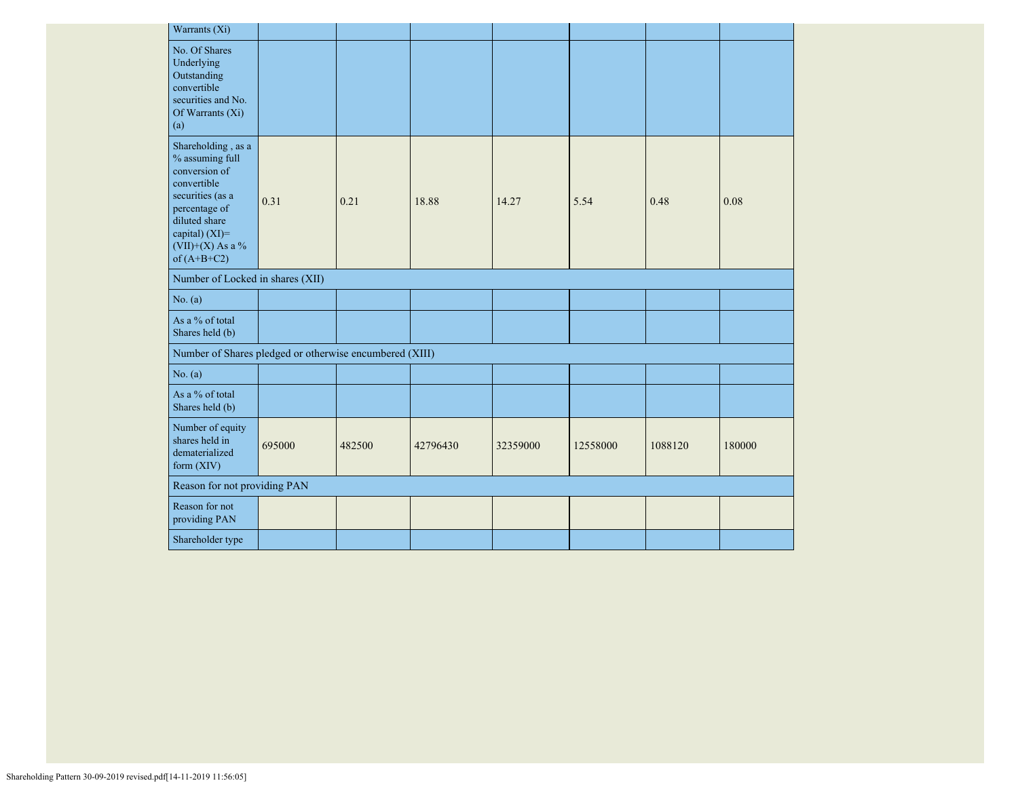| Warrants (Xi)                                                                                                                                                                      |        |        |          |          |          |         |        |
|------------------------------------------------------------------------------------------------------------------------------------------------------------------------------------|--------|--------|----------|----------|----------|---------|--------|
| No. Of Shares<br>Underlying<br>Outstanding<br>convertible<br>securities and No.<br>Of Warrants (Xi)<br>(a)                                                                         |        |        |          |          |          |         |        |
| Shareholding, as a<br>% assuming full<br>conversion of<br>convertible<br>securities (as a<br>percentage of<br>diluted share<br>capital) (XI)=<br>(VII)+(X) As a %<br>of $(A+B+C2)$ | 0.31   | 0.21   | 18.88    | 14.27    | 5.54     | 0.48    | 0.08   |
| Number of Locked in shares (XII)                                                                                                                                                   |        |        |          |          |          |         |        |
| No. (a)                                                                                                                                                                            |        |        |          |          |          |         |        |
| As a % of total<br>Shares held (b)                                                                                                                                                 |        |        |          |          |          |         |        |
| Number of Shares pledged or otherwise encumbered (XIII)                                                                                                                            |        |        |          |          |          |         |        |
| No. (a)                                                                                                                                                                            |        |        |          |          |          |         |        |
| As a % of total<br>Shares held (b)                                                                                                                                                 |        |        |          |          |          |         |        |
| Number of equity<br>shares held in<br>dematerialized<br>form $(XIV)$                                                                                                               | 695000 | 482500 | 42796430 | 32359000 | 12558000 | 1088120 | 180000 |
| Reason for not providing PAN                                                                                                                                                       |        |        |          |          |          |         |        |
| Reason for not<br>providing PAN                                                                                                                                                    |        |        |          |          |          |         |        |
| Shareholder type                                                                                                                                                                   |        |        |          |          |          |         |        |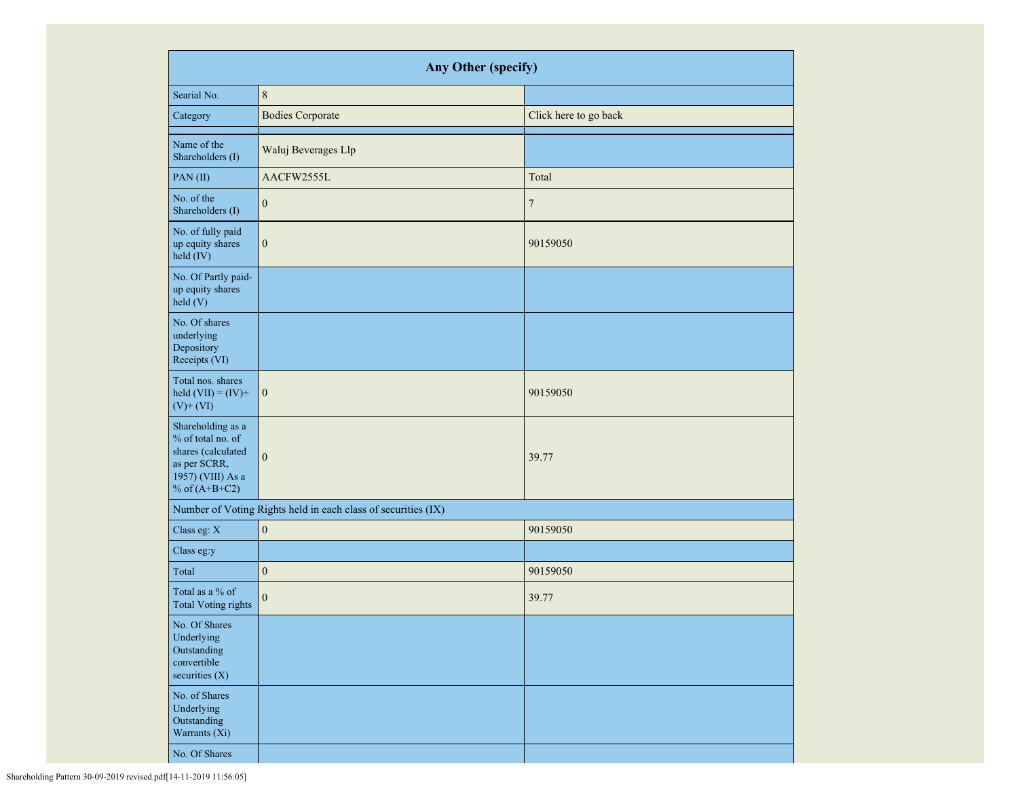| Any Other (specify)                                                                                                  |                                                               |                       |  |  |  |  |  |  |  |
|----------------------------------------------------------------------------------------------------------------------|---------------------------------------------------------------|-----------------------|--|--|--|--|--|--|--|
| Searial No.                                                                                                          | $\,8\,$                                                       |                       |  |  |  |  |  |  |  |
| Category                                                                                                             | <b>Bodies Corporate</b>                                       | Click here to go back |  |  |  |  |  |  |  |
| Name of the<br>Shareholders (I)                                                                                      | Waluj Beverages Llp                                           |                       |  |  |  |  |  |  |  |
| PAN(II)                                                                                                              | AACFW2555L                                                    | Total                 |  |  |  |  |  |  |  |
| No. of the<br>Shareholders (I)                                                                                       | $\boldsymbol{0}$                                              | $\overline{7}$        |  |  |  |  |  |  |  |
| No. of fully paid<br>up equity shares<br>held (IV)                                                                   | $\boldsymbol{0}$                                              | 90159050              |  |  |  |  |  |  |  |
| No. Of Partly paid-<br>up equity shares<br>held (V)                                                                  |                                                               |                       |  |  |  |  |  |  |  |
| No. Of shares<br>underlying<br>Depository<br>Receipts (VI)                                                           |                                                               |                       |  |  |  |  |  |  |  |
| Total nos. shares<br>held $(VII) = (IV) +$<br>$(V)$ + $(VI)$                                                         | $\mathbf{0}$                                                  | 90159050              |  |  |  |  |  |  |  |
| Shareholding as a<br>% of total no. of<br>shares (calculated<br>as per SCRR,<br>1957) (VIII) As a<br>% of $(A+B+C2)$ | $\overline{0}$                                                | 39.77                 |  |  |  |  |  |  |  |
|                                                                                                                      | Number of Voting Rights held in each class of securities (IX) |                       |  |  |  |  |  |  |  |
| Class eg: X                                                                                                          | $\boldsymbol{0}$                                              | 90159050              |  |  |  |  |  |  |  |
| Class eg:y                                                                                                           |                                                               |                       |  |  |  |  |  |  |  |
| Total                                                                                                                | $\boldsymbol{0}$                                              | 90159050              |  |  |  |  |  |  |  |
| Total as a % of<br><b>Total Voting rights</b>                                                                        | $\overline{0}$                                                | 39.77                 |  |  |  |  |  |  |  |
| No. Of Shares<br>Underlying<br>Outstanding<br>convertible<br>securities (X)                                          |                                                               |                       |  |  |  |  |  |  |  |
| No. of Shares<br>Underlying<br>Outstanding<br>Warrants (Xi)                                                          |                                                               |                       |  |  |  |  |  |  |  |
| No. Of Shares                                                                                                        |                                                               |                       |  |  |  |  |  |  |  |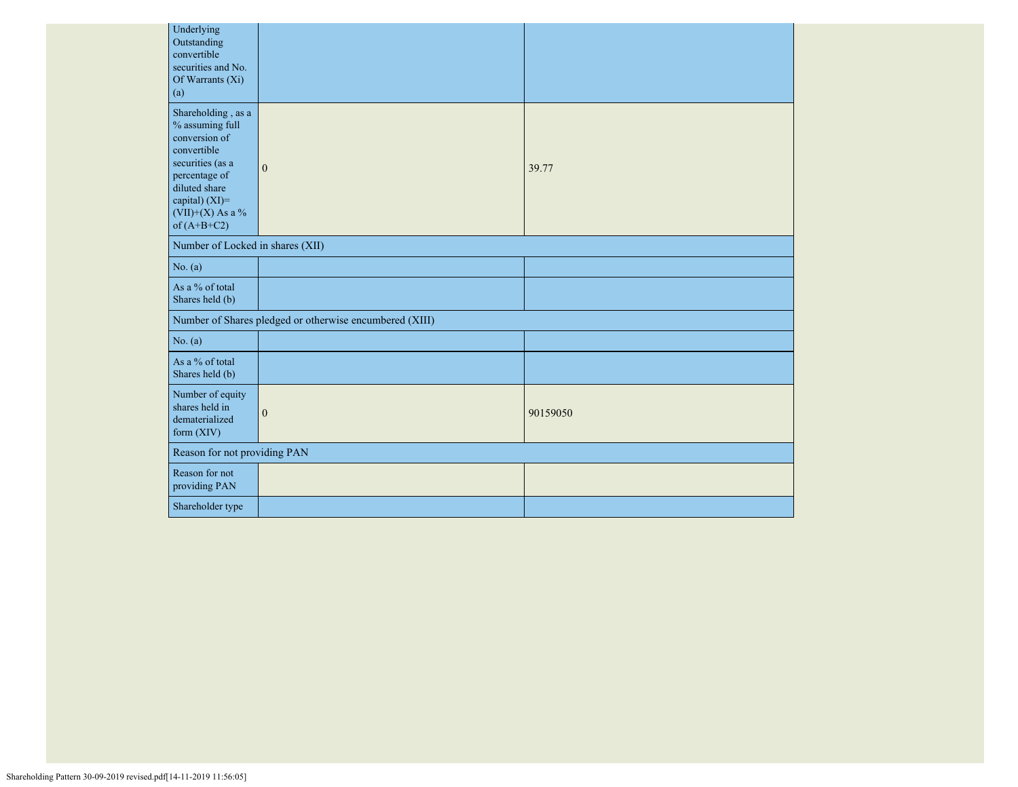| Underlying<br>Outstanding<br>convertible<br>securities and No.<br>Of Warrants (Xi)<br>(a)                                                                                               |                                                         |          |
|-----------------------------------------------------------------------------------------------------------------------------------------------------------------------------------------|---------------------------------------------------------|----------|
| Shareholding, as a<br>$\%$ assuming full<br>conversion of<br>convertible<br>securities (as a<br>percentage of<br>diluted share<br>capital) (XI)=<br>$(VII)+(X)$ As a %<br>of $(A+B+C2)$ | $\mathbf{0}$                                            | 39.77    |
| Number of Locked in shares (XII)                                                                                                                                                        |                                                         |          |
| No. (a)                                                                                                                                                                                 |                                                         |          |
| As a % of total<br>Shares held (b)                                                                                                                                                      |                                                         |          |
|                                                                                                                                                                                         | Number of Shares pledged or otherwise encumbered (XIII) |          |
| No. $(a)$                                                                                                                                                                               |                                                         |          |
| As a % of total<br>Shares held (b)                                                                                                                                                      |                                                         |          |
| Number of equity<br>shares held in<br>dematerialized<br>form (XIV)                                                                                                                      | $\mathbf{0}$                                            | 90159050 |
| Reason for not providing PAN                                                                                                                                                            |                                                         |          |
| Reason for not<br>providing PAN                                                                                                                                                         |                                                         |          |
| Shareholder type                                                                                                                                                                        |                                                         |          |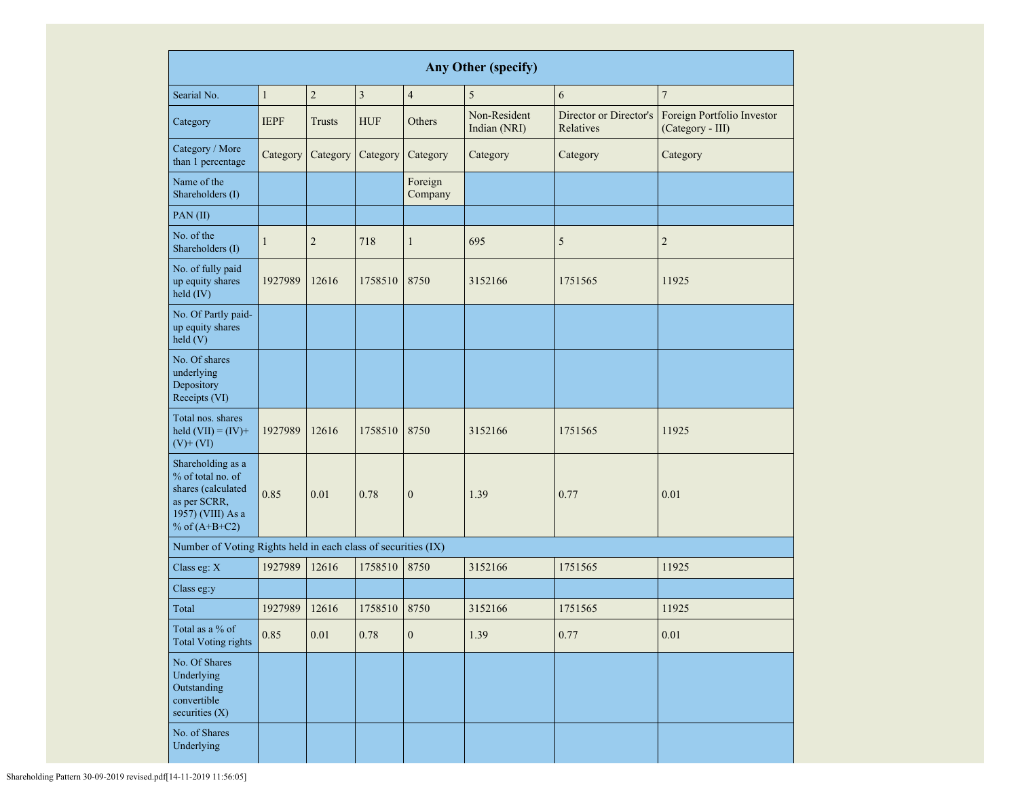| <b>Any Other (specify)</b>                                                                                           |                                            |                |                |                              |                                     |                                                |                |  |  |  |  |
|----------------------------------------------------------------------------------------------------------------------|--------------------------------------------|----------------|----------------|------------------------------|-------------------------------------|------------------------------------------------|----------------|--|--|--|--|
| Searial No.                                                                                                          | $\mathbf{1}$                               | $\overline{2}$ | $\overline{3}$ | $\overline{4}$               | 5                                   | 6                                              | $\overline{7}$ |  |  |  |  |
| Category                                                                                                             | <b>IEPF</b><br><b>HUF</b><br><b>Trusts</b> |                | Others         | Non-Resident<br>Indian (NRI) | Director or Director's<br>Relatives | Foreign Portfolio Investor<br>(Category - III) |                |  |  |  |  |
| Category / More<br>than 1 percentage                                                                                 | Category                                   | Category       | Category       | Category                     | Category                            | Category                                       | Category       |  |  |  |  |
| Name of the<br>Shareholders (I)                                                                                      |                                            |                |                | Foreign<br>Company           |                                     |                                                |                |  |  |  |  |
| PAN(II)                                                                                                              |                                            |                |                |                              |                                     |                                                |                |  |  |  |  |
| No. of the<br>Shareholders (I)                                                                                       | $\mathbf{1}$                               | $\overline{2}$ | 718            | $\mathbf{1}$                 | 695                                 | 5                                              | $\overline{2}$ |  |  |  |  |
| No. of fully paid<br>up equity shares<br>held (IV)                                                                   | 1927989                                    | 12616          | 1758510        | 8750                         | 3152166                             | 1751565                                        | 11925          |  |  |  |  |
| No. Of Partly paid-<br>up equity shares<br>held(V)                                                                   |                                            |                |                |                              |                                     |                                                |                |  |  |  |  |
| No. Of shares<br>underlying<br>Depository<br>Receipts (VI)                                                           |                                            |                |                |                              |                                     |                                                |                |  |  |  |  |
| Total nos, shares<br>held $(VII) = (IV) +$<br>$(V)$ + $(VI)$                                                         | 1927989                                    | 12616          | 1758510        | 8750                         | 3152166                             | 1751565                                        | 11925          |  |  |  |  |
| Shareholding as a<br>% of total no. of<br>shares (calculated<br>as per SCRR,<br>1957) (VIII) As a<br>% of $(A+B+C2)$ | 0.85                                       | 0.01           | 0.78           | $\boldsymbol{0}$             | 1.39                                | 0.77                                           | 0.01           |  |  |  |  |
| Number of Voting Rights held in each class of securities (IX)                                                        |                                            |                |                |                              |                                     |                                                |                |  |  |  |  |
| Class eg: X                                                                                                          | 1927989                                    | 12616          | 1758510        | 8750                         | 3152166                             | 1751565                                        | 11925          |  |  |  |  |
| Class eg:y                                                                                                           |                                            |                |                |                              |                                     |                                                |                |  |  |  |  |
| Total                                                                                                                | 1927989                                    | 12616          | 1758510        | 8750                         | 3152166                             | 1751565                                        | 11925          |  |  |  |  |
| Total as a % of<br><b>Total Voting rights</b>                                                                        | 0.85                                       | 0.01           | 0.78           | $\boldsymbol{0}$             | 1.39                                | 0.77                                           | $0.01\,$       |  |  |  |  |
| No. Of Shares<br>Underlying<br>Outstanding<br>convertible<br>securities (X)                                          |                                            |                |                |                              |                                     |                                                |                |  |  |  |  |
| No. of Shares<br>Underlying                                                                                          |                                            |                |                |                              |                                     |                                                |                |  |  |  |  |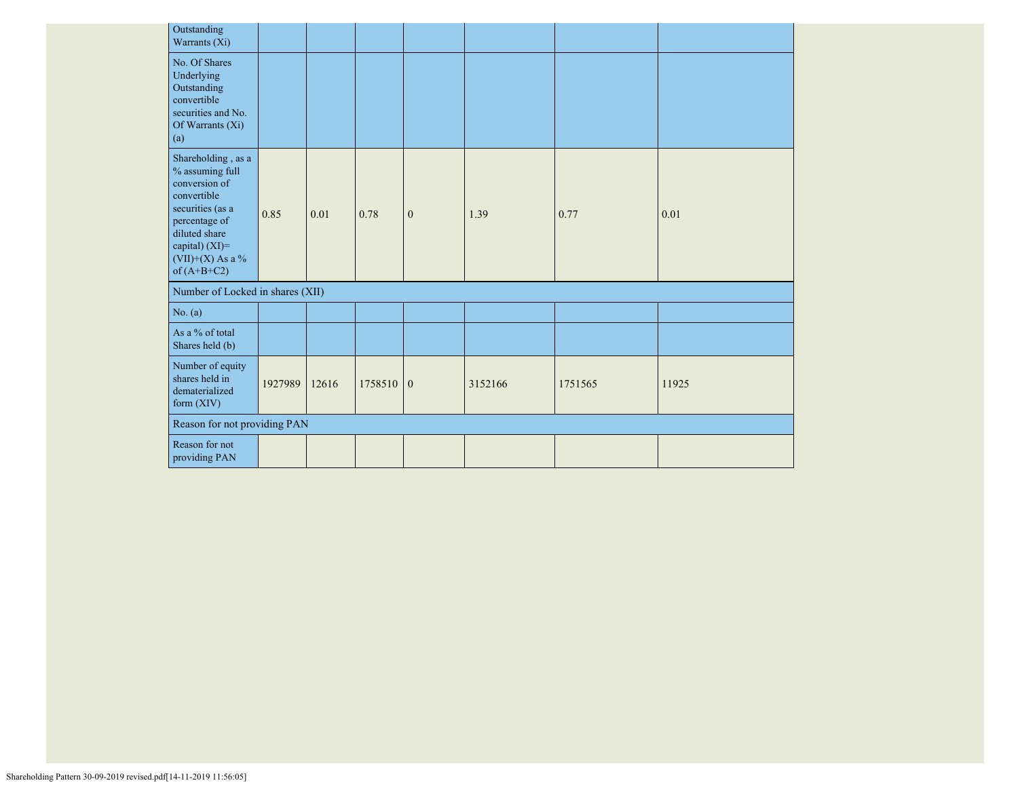| Outstanding<br>Warrants (Xi)                                                                                                                                                          |         |       |             |              |         |         |       |
|---------------------------------------------------------------------------------------------------------------------------------------------------------------------------------------|---------|-------|-------------|--------------|---------|---------|-------|
| No. Of Shares<br>Underlying<br>Outstanding<br>convertible<br>securities and No.<br>Of Warrants (Xi)<br>(a)                                                                            |         |       |             |              |         |         |       |
| Shareholding, as a<br>$\%$ assuming full<br>conversion of<br>convertible<br>securities (as a<br>percentage of<br>diluted share<br>capital) (XI)=<br>(VII)+(X) As a %<br>of $(A+B+C2)$ | 0.85    | 0.01  | 0.78        | $\mathbf{0}$ | 1.39    | 0.77    | 0.01  |
| Number of Locked in shares (XII)                                                                                                                                                      |         |       |             |              |         |         |       |
| No. (a)                                                                                                                                                                               |         |       |             |              |         |         |       |
| As a % of total<br>Shares held (b)                                                                                                                                                    |         |       |             |              |         |         |       |
| Number of equity<br>shares held in<br>dematerialized<br>form $(XIV)$                                                                                                                  | 1927989 | 12616 | $1758510$ 0 |              | 3152166 | 1751565 | 11925 |
| Reason for not providing PAN                                                                                                                                                          |         |       |             |              |         |         |       |
| Reason for not<br>providing PAN                                                                                                                                                       |         |       |             |              |         |         |       |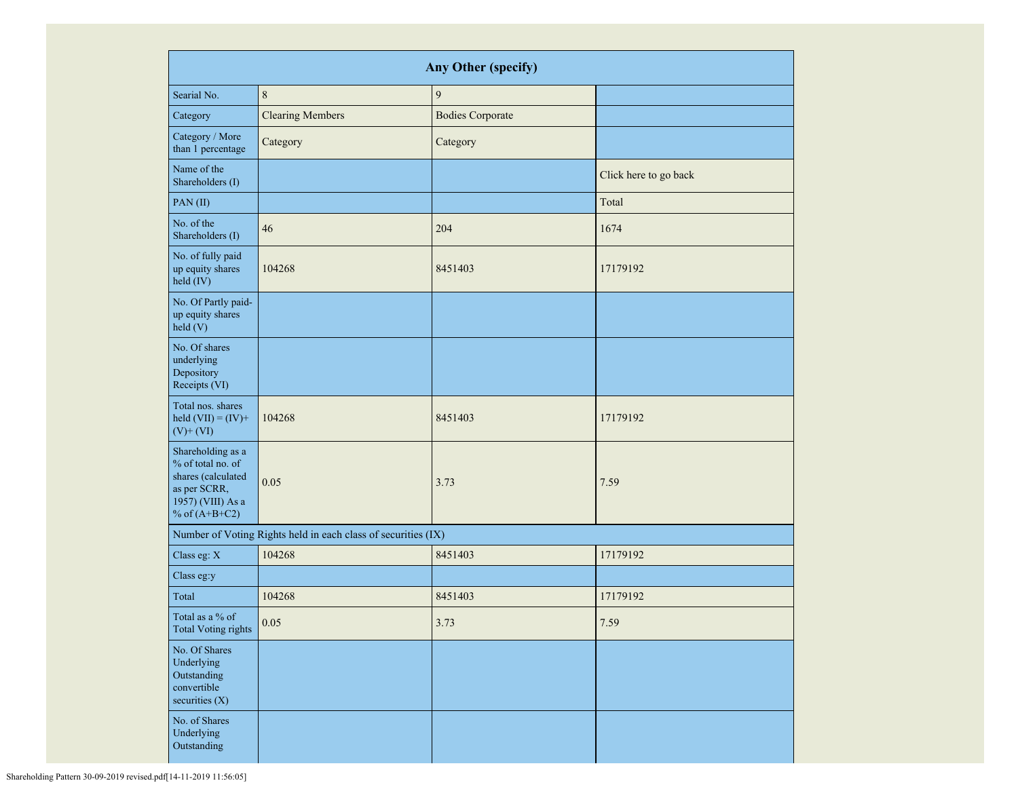| Any Other (specify)                                                                                                  |                                                               |                         |                       |  |  |  |  |  |  |  |
|----------------------------------------------------------------------------------------------------------------------|---------------------------------------------------------------|-------------------------|-----------------------|--|--|--|--|--|--|--|
| Searial No.                                                                                                          | $\,8\,$                                                       | 9                       |                       |  |  |  |  |  |  |  |
| Category                                                                                                             | <b>Clearing Members</b>                                       | <b>Bodies Corporate</b> |                       |  |  |  |  |  |  |  |
| Category / More<br>than 1 percentage                                                                                 | Category                                                      | Category                |                       |  |  |  |  |  |  |  |
| Name of the<br>Shareholders (I)                                                                                      |                                                               |                         | Click here to go back |  |  |  |  |  |  |  |
| PAN(II)                                                                                                              |                                                               |                         | Total                 |  |  |  |  |  |  |  |
| No. of the<br>Shareholders (I)                                                                                       | 46                                                            | 204                     | 1674                  |  |  |  |  |  |  |  |
| No. of fully paid<br>up equity shares<br>held (IV)                                                                   | 104268                                                        | 8451403                 | 17179192              |  |  |  |  |  |  |  |
| No. Of Partly paid-<br>up equity shares<br>held(V)                                                                   |                                                               |                         |                       |  |  |  |  |  |  |  |
| No. Of shares<br>underlying<br>Depository<br>Receipts (VI)                                                           |                                                               |                         |                       |  |  |  |  |  |  |  |
| Total nos. shares<br>held $(VII) = (IV) +$<br>$(V)$ + $(VI)$                                                         | 104268                                                        | 8451403                 | 17179192              |  |  |  |  |  |  |  |
| Shareholding as a<br>% of total no. of<br>shares (calculated<br>as per SCRR,<br>1957) (VIII) As a<br>% of $(A+B+C2)$ | 0.05                                                          | 3.73                    | 7.59                  |  |  |  |  |  |  |  |
|                                                                                                                      | Number of Voting Rights held in each class of securities (IX) |                         |                       |  |  |  |  |  |  |  |
| Class eg: X                                                                                                          | 104268                                                        | 8451403                 | 17179192              |  |  |  |  |  |  |  |
| Class eg:y                                                                                                           |                                                               |                         |                       |  |  |  |  |  |  |  |
| Total                                                                                                                | 104268                                                        | 8451403                 | 17179192              |  |  |  |  |  |  |  |
| Total as a % of<br><b>Total Voting rights</b>                                                                        | $0.05\,$                                                      | 3.73                    | 7.59                  |  |  |  |  |  |  |  |
| No. Of Shares<br>Underlying<br>Outstanding<br>convertible<br>securities $(X)$                                        |                                                               |                         |                       |  |  |  |  |  |  |  |
| No. of Shares<br>Underlying<br>Outstanding                                                                           |                                                               |                         |                       |  |  |  |  |  |  |  |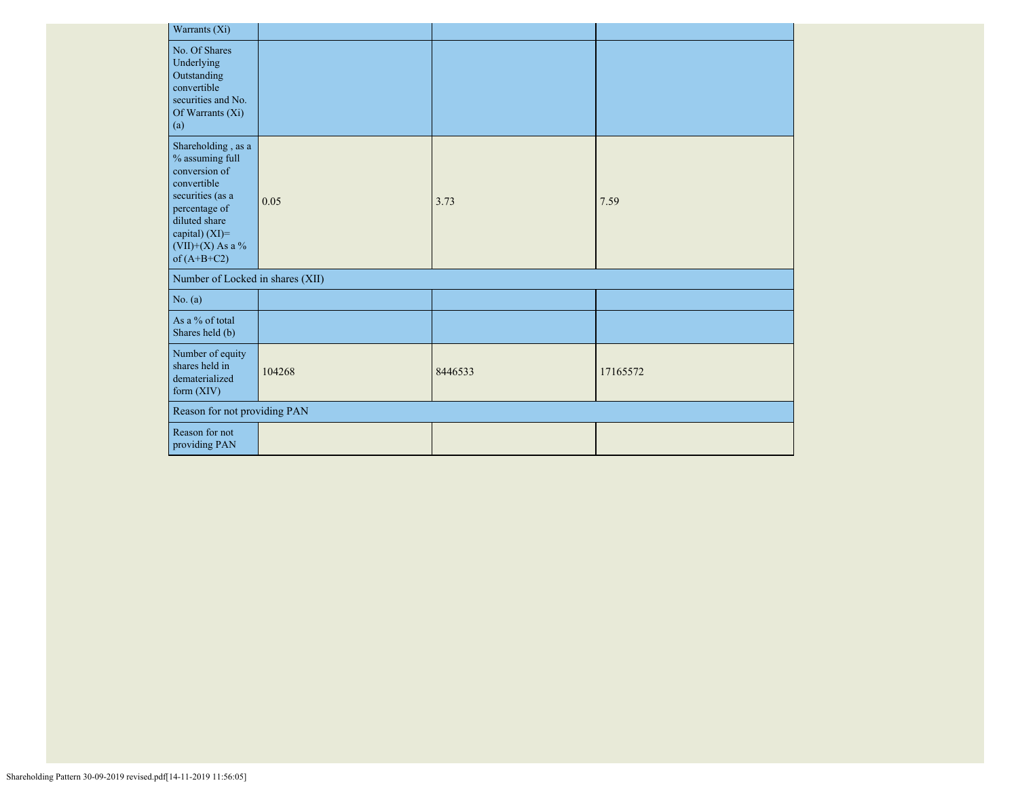| Warrants (Xi)                                                                                                                                                                            |        |         |          |  |  |  |  |  |  |  |  |
|------------------------------------------------------------------------------------------------------------------------------------------------------------------------------------------|--------|---------|----------|--|--|--|--|--|--|--|--|
| No. Of Shares<br>Underlying<br>Outstanding<br>convertible<br>securities and No.<br>Of Warrants (Xi)<br>(a)                                                                               |        |         |          |  |  |  |  |  |  |  |  |
| Shareholding, as a<br>$\%$ assuming full<br>conversion of<br>convertible<br>securities (as a<br>percentage of<br>diluted share<br>capital) $(XI)$ =<br>(VII)+(X) As a %<br>of $(A+B+C2)$ | 0.05   | 3.73    | 7.59     |  |  |  |  |  |  |  |  |
| Number of Locked in shares (XII)                                                                                                                                                         |        |         |          |  |  |  |  |  |  |  |  |
| No. (a)                                                                                                                                                                                  |        |         |          |  |  |  |  |  |  |  |  |
| As a % of total<br>Shares held (b)                                                                                                                                                       |        |         |          |  |  |  |  |  |  |  |  |
| Number of equity<br>shares held in<br>dematerialized<br>form (XIV)                                                                                                                       | 104268 | 8446533 | 17165572 |  |  |  |  |  |  |  |  |
| Reason for not providing PAN                                                                                                                                                             |        |         |          |  |  |  |  |  |  |  |  |
| Reason for not<br>providing PAN                                                                                                                                                          |        |         |          |  |  |  |  |  |  |  |  |